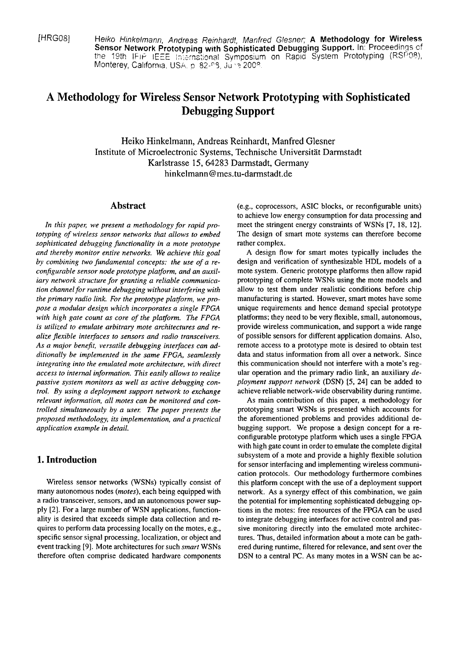[HRG08] Heiko Hinkelmann, Andreas Reinhardt, Manfred Glesner; A **Methodology for Wireless**  Sensor Network Prototyping with Sophisticated Debugging Support. In: Proceedings of the 19th IFIP IEEE International Symposium on Rapid System Prototyping (RSP08), Monterey, California, USA. p. 82-93, June 2008.

# **A Methodology for Wireless Sensor Network Prototyping with Sophisticated Debugging Support**

Heiko Hinkelmann, Andreas Reinhardt, Manfred Glesner Institute of Microelectronic Systems, Technische Universität Darmstadt Karlstrasse 15,64283 Darrnstadt, Germany  $hinkelmann@mes.tu-darmstadt.de$ 

## **Abstract**

In this paper, we present a methodology for rapid pro*totyping of wireless sensor networks that allows to embed* sophisticated debugging functionality in a mote prototype *and thereby monitor entire networks. We achieve this goal by combining two fundamental concepts: the use of a reconjigurable sensor node prototype platform, and an auxiliary network structure for granting a reliable communication channel for runtime debugging without interfering with the primary radio link. For the protorype platform, we propose a modular design which incorporates a single FPGA with high gate count as core of the platform. The FPGA*  is utilized to emulate arbitrary mote architectures and re*alize jlexible interfaces tu sensors and radio transceivers.*  As a major benefit, versatile debugging interfaces can ad*ditionally be implemented in the Same FPGA, seamlessly integrating into rhe emulated mote architecture, with direct access to internal information. This easily allows to realize passive system monitors as well as active debugging control. By using a deployment support network to exchange relevant inforrnation, all motes can be monitored and controlled simultaneously by a user. The paper presents the proposed methodology, its implementation, and a practical application example in detail.* 

# **1. Introduction**

Wireless sensor networks (WSNs) typically consist of many autonomous nodes *(motes),* each being equipped with a radio transceiver, sensors, and an autonomous power supply [2]. For a large number of WSN applications, functionality is desired that exceeds simple data collection and requires to perform data processing locally on the motes, e.g., specific sensor signal processing, localization, or object and event tracking [9]. Mote architectures for such *smart* WSNs therefore often comprise dedicated hardware components (e.g., coprocessors, ASIC blocks, or reconfigurable units) to achieve low energy consumption for data processing and meet the stringent energy constraints of WSNs [7, 18, 12]. The design of smart mote systems can therefore become rather complex.

A design flow for smart motes typically includes the design and verification of synthesizable HDL models of a mote system. Generic prototype platforms then allow rapid prototyping of complete WSNs using the mote models and allow to test them under realistic conditions before chip manufacturing is started. However, smart motes have some unique requirements and hence demand special prototype platforms; they need to be very flexible, small, autonomous, provide wireless communication, and support a wide range of possible sensors for different application domains. Also, remote access to a prototype mote is desired to obtain test data and status information from all over a network. Since this communication should not interfere with a mote's regular operation and the primary radio Link, an auxiliary *deployment support network* (DSN) *[5,* 241 can be added to achieve reliable network-wide observability during runtime.

As main contribution of this paper, a methodology for prototyping smart WSNs is presented which accounts for the aforementioned problems and provides additional debugging support. We propose a design concept for a reconfigurable prototype platform which uses a single FPGA with high gate count in order to emulate the complete digital subsystem of a mote and provide a highly flexible solution for sensor interfacing and implementing wireless communication protocols. Our methodology furthermore combines this platform concept with the use of a deployment support network. As a synergy effect of this combination, we gain the potential for implementing sophisticated debugging options in the motes: free resources of the FPGA can be used to integrate debugging interfaces for active control and passive monitoring directly into the emulated mote architectures. Thus, detailed information about a mote can be gathered during runtime, filtered for relevance, and sent over the DSN to a central PC. As many motes in a WSN can be ac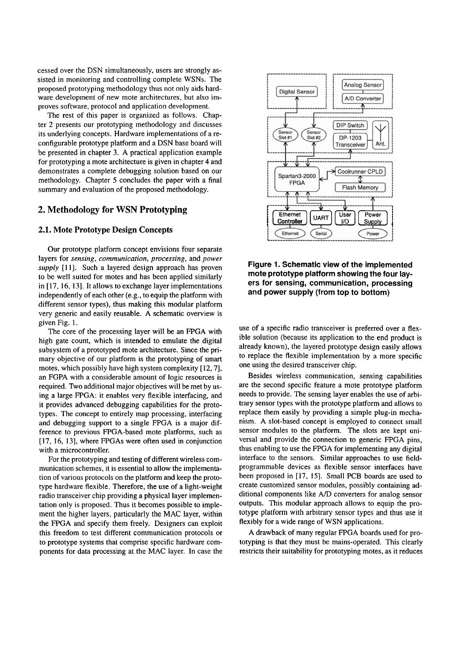cessed over the DSN simultaneously, Users are strongly assisted in monitoring and controlling complete WSNs. The proposed prototyping methodology thus not only aids hardware development of new mote architectures, but also improves software, protocol and application development.

The rest of this paper is organized as follows. Chapter 2 presents our prototyping methodology and discusses its underlying concepts. Hardware implementations of a reconfigurable prototype platform and a DSN base board will be presented in chapter **3.** A practical application example for prototyping a mote architecture is given in chapter 4 and demonstrates a complete debugging solution based on our methodology. Chapter 5 concludes the paper with a final summary and evaluation of the proposed methodology.

## **2. Methodology for WSN Prototyping**

### **2.1. Mote Prototype Design Concepts**

Our prototype platform concept envisions four separate layers for *sensing, communication, processing,* and *power*  supply [11]. Such a layered design approach has proven to be well suited for motes and has been applied similarly in [17, 16, 13]. It allows to exchange layer implementations independently of each other (e.g., to equip the platform with different sensor types), thus making this modular platform very generic and easily reusable. A schematic overview is given Fig. 1.

The core of the processing layer will be an FPGA with high gate Count, which is intended to emulate the digital subsystem of a prototyped mote architecture. Since the primary objective of our platform is the prototyping of smart motes, which possibly have high System complexity [12,7], an FGPA with a considerable amount of logic resources is required. Two additional major objectives will be met by using a large FPGA: it enables very flexible interfacing, and it provides advanced debugging capabilities for the prototypes. The concept to entirely map processing, interfacing and debugging support to a Single FPGA is a major difference to previous FPGA-based mote platforms, such as [17, 16, 13], where FPGAs were often used in conjunction with a microcontroller.

For the prototyping and testing of different wireless communication schemes, it is essential to allow the implementation of various protocols on the platform and keep the prototype hardware flexible. Therefore, the use of a light-weight radio transceiver chip providing a physical layer implementation only is proposed. Thus it becomes possible to implement the higher layers, particularly the MAC layer, within the FPGA and specify them freely. Designers can exploit this freedom to test different communication protocols or to prototype Systems that comprise specific hardware components for data processing at the MAC layer. In case the



**Figure 1. Schematic view of the implemented mote prototype platform showing the four layers for sensing, communication, processing and power supply (from top to bottom)** 

use of a specific radio transceiver is preferred over a flexible solution (because its application to the end product is already known), the layered prototype design easily allows to replace the flexible implementation by a more specific one using the desired transceiver chip.

Besides wireless communication, sensing capabilities are the second specific feature a mote prototype platform needs to provide. The sensing layer enables the use of arbitrary sensor types with the prototype platform and allows to replace them easily by providing a simple plug-in mechanism. A slot-based concept is employed to connect small sensor modules to the platform. The slots are kept universal and provide the connection to generic FPGA pins, thus enabling to use the FPGA for implementing any digital interface to the sensors. Similar approaches to use fieldprogrammable devices as flexible sensor interfaces have been proposed in [17, 151. Small PCB boards are used to create customized sensor modules, possibly containing additional components like A/D converters for analog sensor outputs. This modular approach allows to equip the prototype platform with arbitrary sensor types and thus use it flexibly for a wide range of WSN applications.

A drawback of many regular FPGA boards used for prototyping is that they must be mains-operated. This clearly restricts their suitability for prototyping motes, as it reduces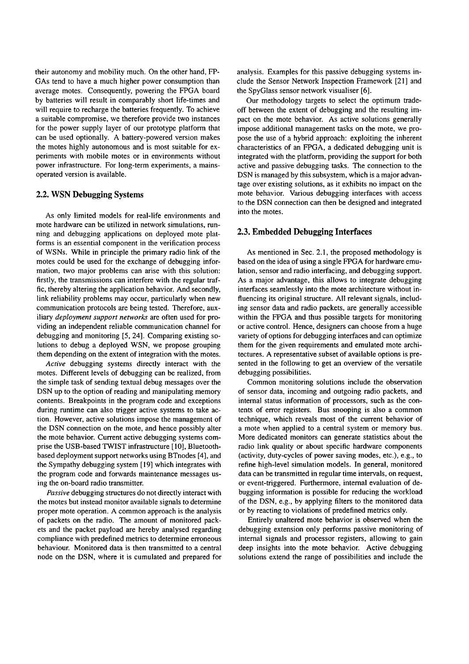their autonomy and mobility much. On the other hand, FP-GAS tend to have a much higher power consumption than average motes. Consequently, powering the FPGA board by batteries will result in comparably short life-times and will require to recharge the batteries frequently. To achieve a suitable compromise, we therefore provide two instances for the power supply layer of our prototype platform that can be used optionally. A battery-powered version makes the motes highly autonomous and is most suitable for experiments with mobile motes or in environments without power infrastructure. For long-term experiments, a mainsoperated version is available.

## **2.2. WSN Debugging Systems**

As only limited models for real-life environments and mote hardware can be utilized in network simulations, running and debugging applications on deployed mote platforrns is an essential component in the verification process of WSNs. While in principle the primary radio link of the motes could be used for the exchange of debugging information, two major problems can arise with this solution: firstly, the transmissions can interfere with the regular traffic, thereby altering the application behavior. And secondly, link reliability problems may occur, particularly when new communication protocols are being tested. Therefore, auxiliary *deployment support networks* are often used for providing an independent reliable comrnunication channel for debugging and monitoring [5, 241. Comparing existing solutions to debug a deployed WSN, we propose grouping them depending on the extent of integration with the motes.

**Active** debugging systems directly interact with the motes. Different levels of debugging can be realized, from the simple task of sending textual debug messages over the DSN up to the option of reading and manipulating memory contents. Breakpoints in the program code and exceptions during runtime can also trigger active systems to take action. However, active solutions impose the management of the DSN connection on the mote, and hence possibly alter the mote behavior. Current active debugging systems comprise the USB-based TWIST infrastructure **[10],** Bluetoothbased deployment support networks using BTnodes [4], and the Sympathy debugging system [19] which integrates with the program code and forwards maintenance messages using the on-board radio transmitter.

**Passive** debugging structures do not directly interact with the motes but instead monitor available signals to determine proper mote operation. A common approach is the analysis of packets on the radio. The amount of monitored packets and the packet payload are hereby analysed regarding compliance with predefined metrics to determine erroneous behaviour. Monitored data is then transmitted to a central node on the DSN, where it is cumulated and prepared for

analysis. Examples for this passive debugging systems include the Sensor Network Inspection Framework [21] and the SpyGlass sensor network visualiser [6].

Our methodology targets to select the optimum tradeoff between the extent of debugging and the resulting impact on the mote behavior. As active solutions generally impose additional management tasks on the mote, we propose the use of a hybrid approach: exploiting the inherent characteristics of an FPGA, a dedicated debugging unit is integrated with the platform, providing the support for both active and passive debugging tasks. The connection to the DSN is managed by this subsystem, which is a major advantage over existing solutions, as it exhibits no impact on the mote behavior. Various debugging interfaces with access to the DSN connection can then be designed and integrated into the motes.

## **2.3. Embedded Debugging Interfaces**

As mentioned in Sec.  $2.1$ , the proposed methodology is based on the idea of using a single FPGA for hardware emulation, sensor and radio interfacing, and debugging support. As a major advantage, this allows to integrate debugging interfaces seamlessly into the mote architecture without influencing its original structure. All relevant signals, including sensor data and radio packets, are generally accessible within the FPGA and thus possible targets for monitoring or active control. Hence, designers can choose from a huge variety of options for debugging interfaces and can optimize thern for the given requirements and emulated mote architectures. A representative subset of available options is presented in the following to get an overview of the versatile debugging possibilities.

Common monitoring solutions include the observation of sensor data, incoming and outgoing radio packets, and internal status information of processors, such as the contents of error registers. Bus snooping is also a common technique, which reveals most of the current behavior of a mote when applied to a central system or memory bus. More dedicated monitors can generate statistics about the radio link quality or about specific hardware components (activity, duty-cycles of power saving modes, etc.), e.g., to refine high-level simulation models. In general, monitored data can be transmitted in regular time intervals, on request, or event-triggered. Furthermore, internal evaluation of debugging information is possible for reducing the workload of the DSN, e.g., by applying filters to the monitored data or by reacting to violations of predefined metrics only.

Entirely unaltered mote behavior is observed when the debugging extension only performs passive monitoring of internal signals and processor registers, allowing to gain deep insights into the mote behavior. Active debugging solutions extend the range of possibilities and include the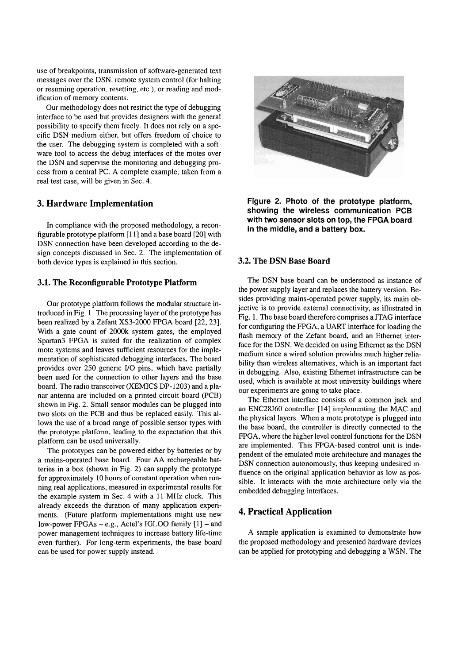use of breakpoints, transmission of software-generated text messages over the DSN, remote system control (for halting or resuming operation, resetting, etc.), or reading and modification of memory contents.

Our methodology does not restrict the type of debugging interface to be used but provides designers with the general possibility to specify them freely. It does not rely on a specific DSN medium either, but offers freedom of choice to the user. The debugging system is completed with a soft-Ware tool to access the debug interfaces of the motes over the DSN and supervise the monitoring and debugging process from a central PC. A complete example, taken from a real test case, will be given in Sec. 4.

## **3. Hardware Implementation**

In compliance with the proposed methodology, a reconfigurable prototype platform [ll] and a base board [20] with DSN connection have been developed according to the design concepts discussed in Sec. 2. The implementation of both device types is explained in this section.

## **3.1. The Reconfigurable Prototype Platform**

Our prototype platform follows the modular structure introduced in Fig. 1. The processing layer of the prototype has been realized by a Zefant XS3-2000 FPGA board [22,23]. With a gate count of 2000k system gates, the employed Spartan3 FPGA is suited for the realization of complex mote Systems and leaves sufficient resources for the implementation of sophisticated debugging interfaces. The board provides over 250 generic I/O pins, which have partially been used for the connection to other layers and the base board. The radio transceiver (XEMICS DP-1203) and a planar antenna are included on a printed circuit board (PCB) shown in Fig. 2. Small sensor modules can be plugged into two slots on the PCB and thus be replaced easily. This allows the use of a broad range of possible sensor types with the prototype platform, leading to the expectation that this platform can be used universally.

The prototypes can be powered either by batteries or by a mains-operated base board. Four AA rechargeable batteries in a box (shown in Fig. 2) can supply the prototype for approximately 10 hours of constant operation when running real applications, measured in experimental results for the example system in Sec. 4 with a 11 MHz clock. This already exceeds the duration of many application experiments. (Future platform implementations might use new low-power FPGAs  $-$  e.g., Actel's IGLOO family  $[1]$  – and power management techniques to increase battery life-time even further). For long-term experiments, the base board can be used for power supply instead.



**Figure 2. Photo of the prototype platform, showing the wireless communication PCB with two sensor slots on top, the FPGA board in the middle, and a battery box.** 

## **3.2. The DSN Base Board**

The DSN base board can be understood as instance of the power supply layer and replaces the battery version. Besides providing mains-operated power supply, its main objective is to provide external connectivity, as illustrated in Fig. 1. The base board therefore comprises a JTAG interface for configuring the FPGA, a UART interface for loading the flash memory of the Zefant board, and an Ethernet interface for the DSN. We decided on using Ethernet as the DSN medium since a wired solution provides much higher reliability than wireless alternatives, which is an important fact in debugging. Also, existing Ethernet infrastructure can be used, which is available at most university buildings where our experiments are going to take place.

The Ethernet interface consists of a common jack and an ENC28J60 controller [I41 implementing the MAC and the physical layers. When a mote prototype is plugged into the base board, the controller is directly connected to the FPGA, where the higher level control functions for the DSN are implemented. This FPGA-based control unit is independent of the emulated mote architecture and manages the DSN connection autonomously, thus keeping undesired influence on the original application behavior as low as possible. It interacts with the mote architecture only via the embedded debugging interfaces.

## **4. Practical Application**

A sample application is examined to demonstrate how the proposed methodology and presented hardware devices can be applied for prototyping and debugging a WSN. The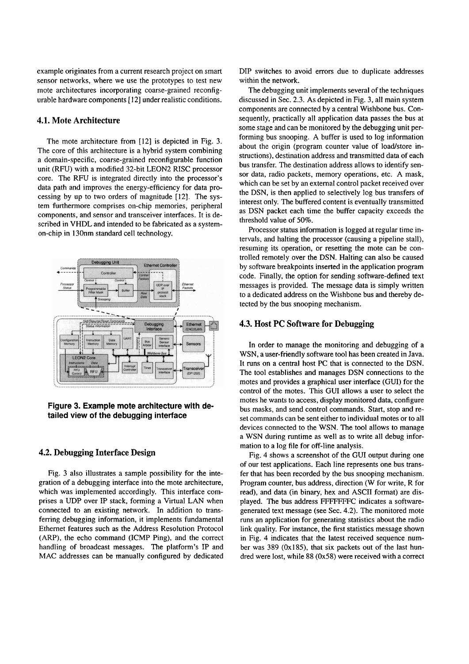example originates from a current research project on smart sensor networks, where we use the prototypes to test new mote architectures incorporating coarse-grained reconfigurable hardware components [12] under realistic conditions.

## **4.1. Mote Architecture**

The mote architecture from [12] is depicted in Fig. 3. The core of this architecture is a hybrid system combining a domain-specific, coarse-grained reconfigurable function unit (RFU) with a modified 32-bit LEON2 RISC processor core. The RFU is integrated directly into the processor's data path and improves the energy-efficiency for data processing by up to two orders of magnitude [12]. The system furthermore comprises on-chip memories, peripheral cornponents, and sensor and transceiver interfaces. It is described in VHDL and intended to be fabricated as a systemon-chip in 130nm Standard cell technology.



**Figure 3. Example mote architecture with detailed view of the debugging interface** 

#### **4.2. Debugging Interface Design**

Fig. 3 also illustrates a sample possibility for the integration of a debugging interface into the mote architecture, which was implemented accordingly. This interface comprises a UDP over IP stack, forming a Virtual LAN when connected to an existing network. In addition to transferring debugging information, it implements fundamental Ethernet features such as the Address Resolution Protocol (ARP), the echo command (ICMP Ping), and the correct handling of broadcast messages. The platform's IP and MAC addresses can be manually configured by dedicated DIP switches to avoid errors due to duplicate addresses within the network.

The debugging unit implements several of the techniques discussed in Sec. 2.3. As depicted in Fig. 3, all main system components are connected by a central Wishbone bus. Consequently, practically all application data passes the bus at some Stage and can be monitored by the debugging unit performing bus snooping. **A** buffer is used to log information about the origin (program counter value of load/store instructions), destination address and transmitted data of each bus transfer. The destination address allows to identify sensor data, radio packets, memory operations, etc. A mask, which can be set by an external control packet received over the DSN, is then applied to selectively log bus transfers of interest only. The buffered content is eventually transmitted as DSN packet each time the buffer capacity exceeds the threshold value of 50%.

Processor status information is logged at regular time intervals, and halting the processor (causing a pipeline Stall), resuming its operation, or resetting the mote can be controlled remotely over the DSN. Halting can also be caused by software breakpoints inserted in the application program code. Finally, the option for sending software-defined text messages is provided. The message data is simply written to a dedicated address on the Wishbone bus and thereby detected by the bus snooping mechanism.

#### **4.3. Host PC Software for Debugging**

In order to manage the monitoring and debugging of a WSN, a user-friendly software tool has been created in Java. It runs on a central host PC that is connected to the DSN. The tool establishes and manages DSN connections to the motes and provides a graphical user interface (GUI) for the control of the motes. This GUI allows a user to select the motes he wants to access, display monitored data, configure bus masks, and send control commands. Start, stop and reset commands can be sent either to individual motes or to all devices connected to the WSN. The tool allows to manage a WSN during runtime as well as to write all debug information to a log file for off-line analysis.

Fig. 4 shows a screenshot of the GUI output during one of our test applications. Each line represents one bus transfer that has been recorded by the bus snooping mechanism. Program counter, bus address, direction (W for write, R for read), and data (in binary, hex and ASCII format) are displayed. The bus address FFFFFFFC indicates a softwaregenerated text message (See Sec. 4.2). The monitored mote runs an application for generating statistics about the radio link quality. For instance, the first statistics message shown in Fig. 4 indicates that the latest received sequence number was 389 (0x185), that six packets out of the last hundred were lost, while 88 (0x58) were received with a correct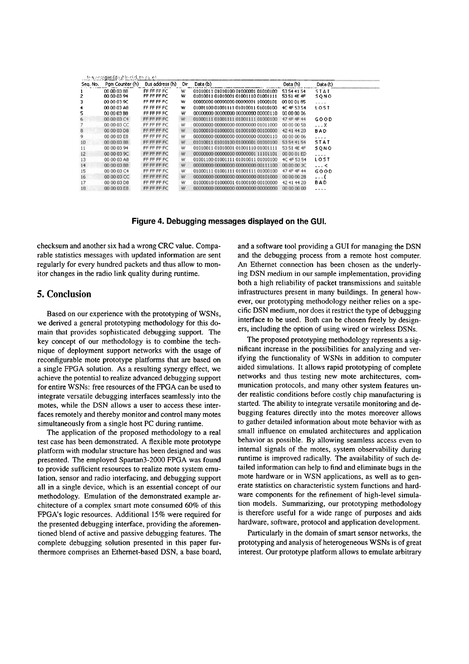| te massages (double-cla), to save). |                 |                 |     |                                     |             |             |
|-------------------------------------|-----------------|-----------------|-----|-------------------------------------|-------------|-------------|
| Seg. No.                            | Pam Counter (h) | Bus address (h) | Dir | Data (b)                            | Data (h)    | Data (t)    |
|                                     | 00 00 03 88     | FF FF FF FC     | w   | 01010011 01010100 01000001 01010100 | 53 54 41 54 | STAT        |
| 2                                   | 00 00 03 94     | FF FF FF FC     | w   | 01010011010100010100111001001111    | 53 51 4E 4F | SONO        |
| 3                                   | 00 00 03 9C     | FF FF FF FC     | w   | 00000000 00000000 00000001 10000101 | 00 00 01 85 | $\cdots$    |
| $\ddot{\bullet}$                    | 00 00 03 A8     | FF FF FF FC     | w   | 01001100 01001111 01010011 01010100 | 4C 4F 53 54 | LOST        |
| 5                                   | 00 00 03 B8     | FF FF FF FC     | W   | 00000000 00000000 00000000 00000110 | 00 00 00 06 |             |
| 6                                   | 00 00 03 C4     | FF FF FF FC     | W   | 01000111 01001111 01001111 01000100 | 47 4F 4F 44 | GOOD        |
|                                     | 00 00 03 CC     | FF FF FF FC     | W   | 00000000 00000000 00000000 01011000 | 00 00 00 58 | . X         |
| $\boldsymbol{8}$                    | 00 00 03 D8     | FF FF FF FC     | W   | 01000010 01000001 01000100 00100000 | 42 41 44 20 | <b>BAD</b>  |
| 9                                   | 00 00 03 E8     | FF FF FF FC     | W   | 00000000 00000000 00000000 00000110 | 00 00 00 06 | $\cdots$    |
| 10                                  | 00 00 03 88     | FF FF FF FC     | W   | 01010011 01010100 01000001 01010100 | 53 54 41 54 | <b>STAT</b> |
| 11                                  | 00 00 03 94     | FF FF FF FC     | W   | 01010011 01010001 01001110 01001111 | 53 51 4E 4F | SONO        |
| 12                                  | 00 00 03 9C     | FF FF FF FC     | W   | 00000000 00000000 00000001 11101101 | 00 00 01 ED | 1.1.1       |
| 13                                  | 00 00 03 A8     | FF FF FF FC     | W   | 01001100 01001111 01010011 01010100 | 4C 4F 53 54 | LOST        |
| 14                                  | 00 00 03 B8     | FF FF FF FC     | W   | 00000000 00000000 00000000 00111100 | 00 00 00 3C | $\ldots$ <  |
| 15                                  | 00 00 03 C4     | FF FF FF FC     | ₩   | 01000111 01001111 01001111 01000100 | 47 4F 4F 44 | <b>GOOD</b> |
| 16                                  | 00 00 03 CC     | FF FF FF FC     | W   | 00000000 00000000 00000000 00101000 | 00 00 00 28 | .           |
| 17                                  | 00 00 03 D8     | FF FF FF FC     | W   | 01000010 01000001 01000100 00100000 | 42 41 44 20 | BAD         |
| 18                                  | 00 00 03 E8     | FF FF FF FC     | W   | 00000000 00000000 00000000 00000000 | 00 00 00 00 | 1.1.1.1     |

#### **Figure 4. Debugging messages displayed on the GUI.**

checksum and another six had a wrong CRC value. Comparable statistics messages with updated information are sent regularly for every hundred packets and thus allow to monitor changes in the radio link quality during runtime.

### **5. Conclusion**

Based on our experience with the prototyping of WSNs, we derived a general prototyping methodology for this domain that provides sophisticated debugging support. The key concept of our methodology is to combine the technique of deployment support networks with the usage of reconfigurable mote prototype platforms that are based on a single FPGA solution. As a resulting synergy effect, we achieve the potential to realize advanced debugging support for entire WSNs: free resources of the FPGA can be used to integrate versatile debugging interfaces seamlessly into the motes, while the DSN allows a user to access these interfaces remotely and thereby monitor and control many motes simultaneously from a single host PC during runtime.

The application of the proposed methodology to a real test case has been demonstrated. A flexible mote prototype platform with modular structure has been designed and was presented. The employed Spartan3-2000 FPGA was found to provide sufficient resources to realize mote system emulation, sensor and radio interfacing, and debugging support all in a single device, which is an essential concept of our methodology. Emulation of the demonstrated example architecture of a complex smart mote consumed 60% of this FPGA's logic resources. Additional 15% were required for the presented debugging interface, providing the aforementioned blend of active and passive debugging features. The complete debugging solution presented in this paper furthermore comprises an Ethemet-based DSN, a base board, and a software tool providing a GUI for managing the DSN and the debugging process from a remote host computer. An Ethemet connection has been chosen as the underlying DSN medium in our sample implementation, providing both a high reliability of packet transmissions and suitable infrastructures present in many buildings. In general however, our prototyping methodology neither relies on a specific DSN medium, nor does it restrict the type of debugging interface to be used. Both can be chosen freely by designers, including the option of using wired or wireless DSNs.

The proposed prototyping methodology represents a significant increase in the possibilities for analyzing and verifying the functionality of WSNs in addition to computer aided simulations. It allows rapid prototyping of complete networks and thus testing new mote architectures, communication protocols, and many other system features under realistic conditions before costly chip manufacturing is started. The ability to integrate versatile monitoring and debugging features directly into the motes moreover allows to gather detailed information about mote behavior with as small influence on emulated architectures and application behavior as possible. By allowing seamless access even to intemal signals of the motes, system observability during runtime is improved radically. The availability of such detailed information can help to find and eliminate bugs in the mote hardware or in WSN applications, as well as to generate statistics on characteristic system functions and hardware components for the refinement of high-level simulation models. Summarizing, our prototyping methodology is therefore useful for a wide range of purposes and aids hardware, software, protocol and application development.

Particularly in the domain of smart sensor networks, the prototyping and analysis of heterogeneous WSNs is of great interest. Our prototype platform allows to emulate arbitrary